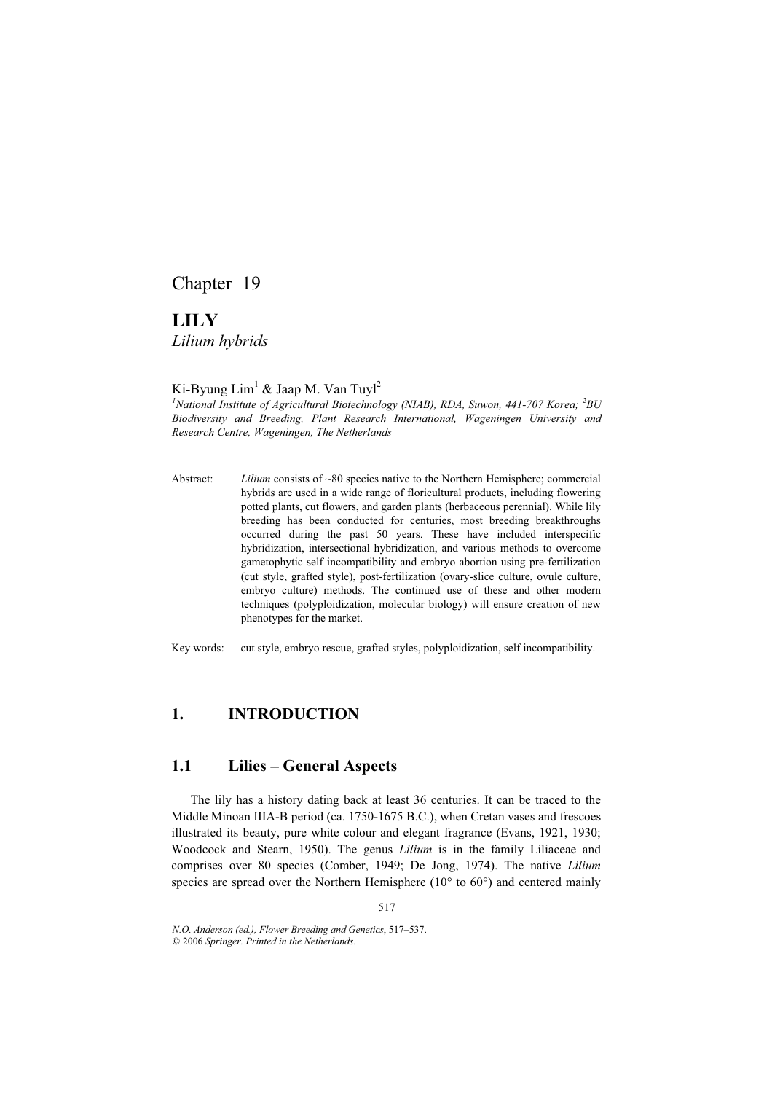Chapter 19

**LILY**

*Lilium hybrids* 

## Ki-Byung  $\operatorname{Lim}^1\mathrel{\&}$  Jaap M. Van Tuyl $^2$

<sup>1</sup>National Institute of Agricultural Biotechnology (NIAB), RDA, Suwon, 441-707 Korea; <sup>2</sup>BU *Biodiversity and Breeding, Plant Research International, Wageningen University and Research Centre, Wageningen, The Netherlands* 

Abstract: *Lilium* consists of ~80 species native to the Northern Hemisphere; commercial hybrids are used in a wide range of floricultural products, including flowering potted plants, cut flowers, and garden plants (herbaceous perennial). While lily breeding has been conducted for centuries, most breeding breakthroughs occurred during the past 50 years. These have included interspecific hybridization, intersectional hybridization, and various methods to overcome gametophytic self incompatibility and embryo abortion using pre-fertilization (cut style, grafted style), post-fertilization (ovary-slice culture, ovule culture, embryo culture) methods. The continued use of these and other modern techniques (polyploidization, molecular biology) will ensure creation of new phenotypes for the market.

Key words: cut style, embryo rescue, grafted styles, polyploidization, self incompatibility.

### **1. INTRODUCTION**

# **1.1 Lilies – General Aspects**

The lily has a history dating back at least 36 centuries. It can be traced to the Middle Minoan IIIA-B period (ca. 1750-1675 B.C.), when Cretan vases and frescoes illustrated its beauty, pure white colour and elegant fragrance (Evans, 1921, 1930; Woodcock and Stearn, 1950). The genus *Lilium* is in the family Liliaceae and comprises over 80 species (Comber, 1949; De Jong, 1974). The native *Lilium* species are spread over the Northern Hemisphere ( $10^{\circ}$  to  $60^{\circ}$ ) and centered mainly

<sup>© 2006</sup> *Springer. Printed in the Netherlands. N.O. Anderson (ed.), Flower Breeding and Genetics*, 517–537.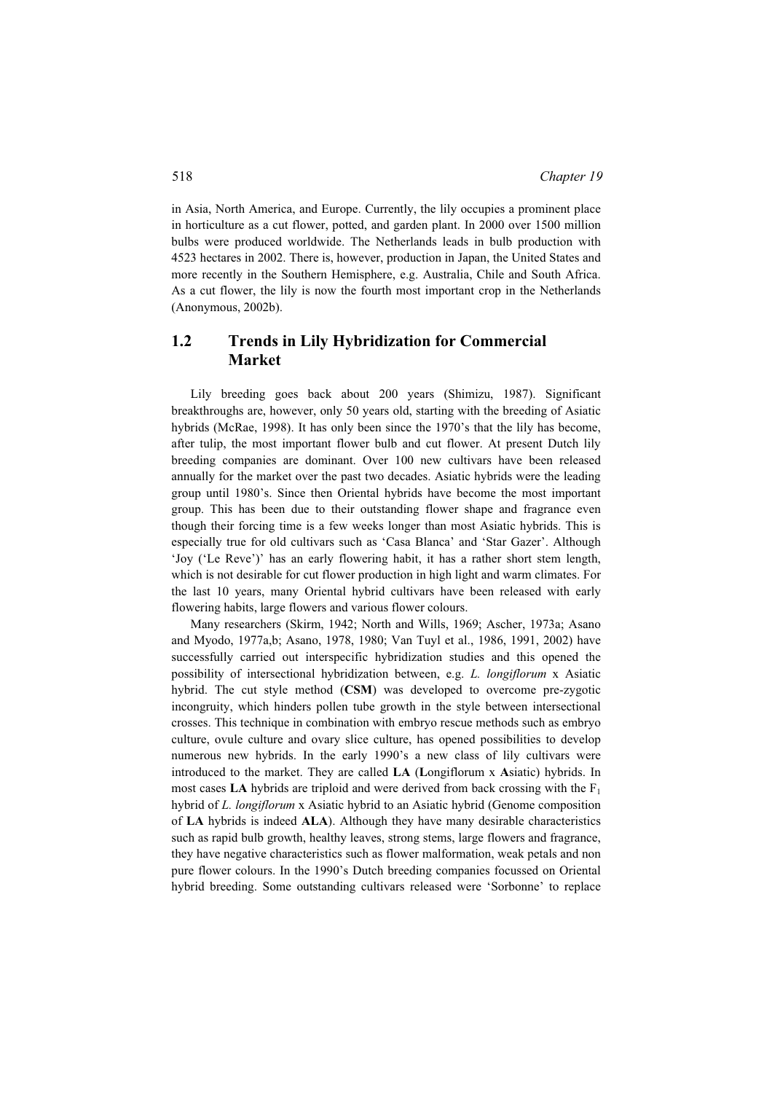in Asia, North America, and Europe. Currently, the lily occupies a prominent place in horticulture as a cut flower, potted, and garden plant. In 2000 over 1500 million bulbs were produced worldwide. The Netherlands leads in bulb production with 4523 hectares in 2002. There is, however, production in Japan, the United States and more recently in the Southern Hemisphere, e.g. Australia, Chile and South Africa. As a cut flower, the lily is now the fourth most important crop in the Netherlands (Anonymous, 2002b).

# **1.2 Trends in Lily Hybridization for Commercial Market**

Lily breeding goes back about 200 years (Shimizu, 1987). Significant breakthroughs are, however, only 50 years old, starting with the breeding of Asiatic hybrids (McRae, 1998). It has only been since the 1970's that the lily has become, after tulip, the most important flower bulb and cut flower. At present Dutch lily breeding companies are dominant. Over 100 new cultivars have been released annually for the market over the past two decades. Asiatic hybrids were the leading group until 1980's. Since then Oriental hybrids have become the most important group. This has been due to their outstanding flower shape and fragrance even though their forcing time is a few weeks longer than most Asiatic hybrids. This is especially true for old cultivars such as 'Casa Blanca' and 'Star Gazer'. Although 'Joy ('Le Reve')' has an early flowering habit, it has a rather short stem length, which is not desirable for cut flower production in high light and warm climates. For the last 10 years, many Oriental hybrid cultivars have been released with early flowering habits, large flowers and various flower colours.

Many researchers (Skirm, 1942; North and Wills, 1969; Ascher, 1973a; Asano and Myodo, 1977a,b; Asano, 1978, 1980; Van Tuyl et al., 1986, 1991, 2002) have successfully carried out interspecific hybridization studies and this opened the possibility of intersectional hybridization between, e.g. *L. longiflorum* x Asiatic hybrid. The cut style method (**CSM**) was developed to overcome pre-zygotic incongruity, which hinders pollen tube growth in the style between intersectional crosses. This technique in combination with embryo rescue methods such as embryo culture, ovule culture and ovary slice culture, has opened possibilities to develop numerous new hybrids. In the early 1990's a new class of lily cultivars were introduced to the market. They are called **LA** (**L**ongiflorum x **A**siatic) hybrids. In most cases **LA** hybrids are triploid and were derived from back crossing with the  $F_1$ hybrid of *L. longiflorum* x Asiatic hybrid to an Asiatic hybrid (Genome composition of **LA** hybrids is indeed **ALA**). Although they have many desirable characteristics such as rapid bulb growth, healthy leaves, strong stems, large flowers and fragrance, they have negative characteristics such as flower malformation, weak petals and non pure flower colours. In the 1990's Dutch breeding companies focussed on Oriental hybrid breeding. Some outstanding cultivars released were 'Sorbonne' to replace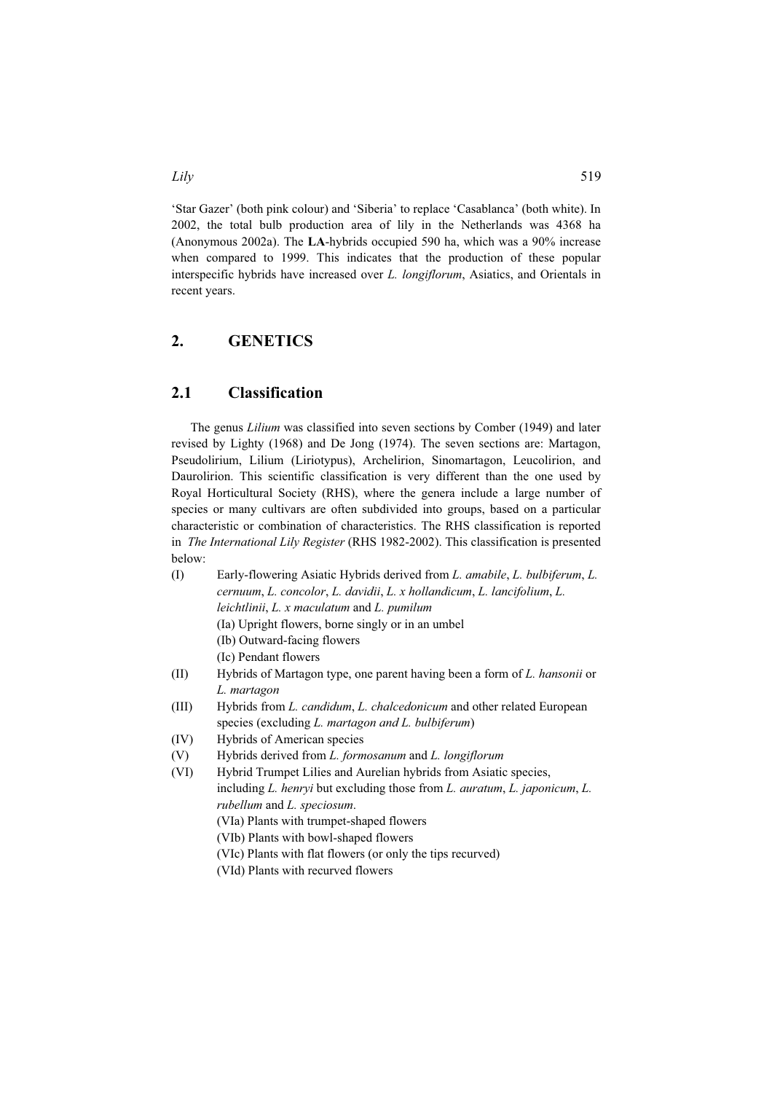'Star Gazer' (both pink colour) and 'Siberia' to replace 'Casablanca' (both white). In 2002, the total bulb production area of lily in the Netherlands was 4368 ha (Anonymous 2002a). The **LA**-hybrids occupied 590 ha, which was a 90% increase when compared to 1999. This indicates that the production of these popular

interspecific hybrids have increased over *L. longiflorum*, Asiatics, and Orientals in

# **2. GENETICS**

# **2.1 Classification**

The genus *Lilium* was classified into seven sections by Comber (1949) and later revised by Lighty (1968) and De Jong (1974). The seven sections are: Martagon, Pseudolirium, Lilium (Liriotypus), Archelirion, Sinomartagon, Leucolirion, and Daurolirion. This scientific classification is very different than the one used by Royal Horticultural Society (RHS), where the genera include a large number of species or many cultivars are often subdivided into groups, based on a particular characteristic or combination of characteristics. The RHS classification is reported in *The International Lily Register* (RHS 1982-2002). This classification is presented below: (I) Early-flowering Asiatic Hybrids derived from *L. amabile*, *L. bulbiferum*, *L.*

| (1)   | Early-flowering Asiatic Hybrids derived from L. <i>amabile</i> , L. <i>bulbiferum</i> , L. |
|-------|--------------------------------------------------------------------------------------------|
|       | cernuum, L. concolor, L. davidii, L. x hollandicum, L. lancifolium, L.                     |
|       | leichtlinii, L. x maculatum and L. pumilum                                                 |
|       | (Ia) Upright flowers, borne singly or in an umbel                                          |
|       | (Ib) Outward-facing flowers                                                                |
|       | (Ic) Pendant flowers                                                                       |
| (II)  | Hybrids of Martagon type, one parent having been a form of L. <i>hansonii</i> or           |
|       | L. martagon                                                                                |
| (III) | Hybrids from L. candidum, L. chalcedonicum and other related European                      |
|       | species (excluding L. martagon and L. bulbiferum)                                          |
| (IV)  | Hybrids of American species                                                                |
| (V)   | Hybrids derived from L. formosanum and L. longiflorum                                      |
| (VI)  | Hybrid Trumpet Lilies and Aurelian hybrids from Asiatic species,                           |
|       | including L. henryi but excluding those from L. auratum, L. japonicum, L.                  |
|       | rubellum and L. speciosum.                                                                 |
|       | (VIa) Plants with trumpet-shaped flowers                                                   |
|       | (VIb) Plants with bowl-shaped flowers                                                      |
|       | (VIc) Plants with flat flowers (or only the tips recurved)                                 |
|       | (VId) Plants with recurved flowers                                                         |
|       |                                                                                            |

*Lily*

recent years.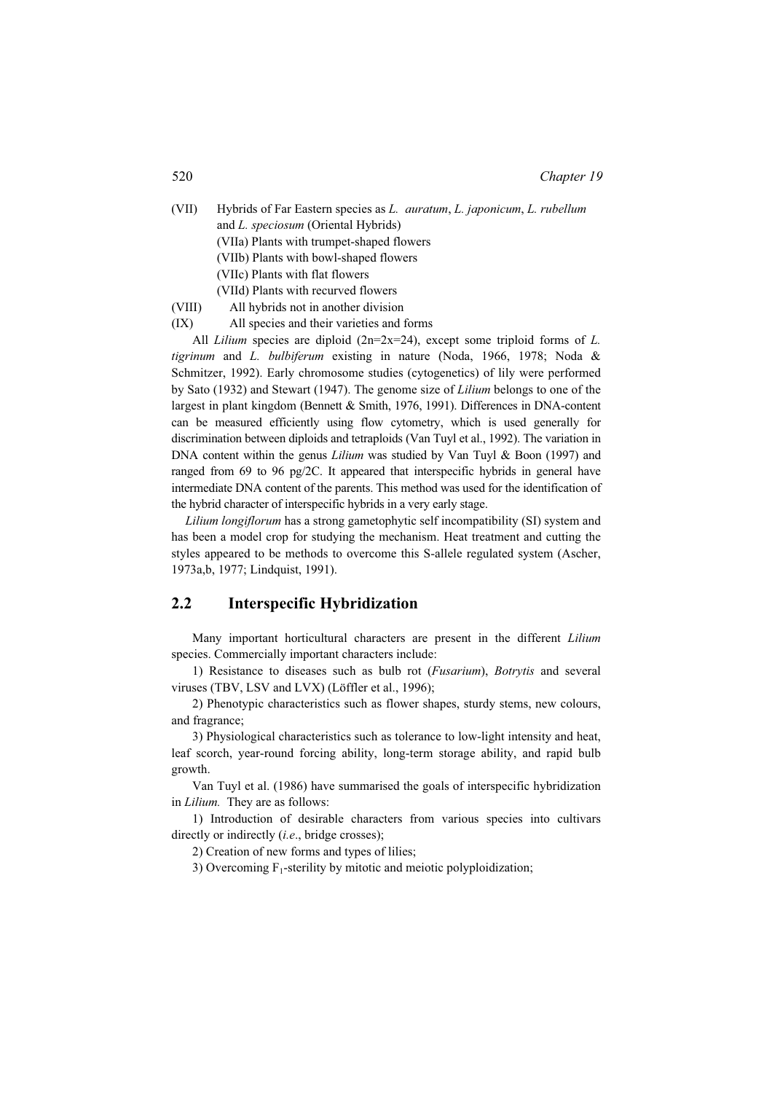(VII) Hybrids of Far Eastern species as *L. auratum*, *L. japonicum*, *L. rubellum* and *L. speciosum* (Oriental Hybrids) (VIIa) Plants with trumpet-shaped flowers (VIIb) Plants with bowl-shaped flowers (VIIc) Plants with flat flowers (VIId) Plants with recurved flowers (VIII) All hybrids not in another division

(IX) All species and their varieties and forms

All *Lilium* species are diploid (2n=2x=24), except some triploid forms of *L. tigrinum* and *L. bulbiferum* existing in nature (Noda, 1966, 1978; Noda & Schmitzer, 1992). Early chromosome studies (cytogenetics) of lily were performed by Sato (1932) and Stewart (1947). The genome size of *Lilium* belongs to one of the largest in plant kingdom (Bennett & Smith, 1976, 1991). Differences in DNA-content can be measured efficiently using flow cytometry, which is used generally for discrimination between diploids and tetraploids (Van Tuyl et al., 1992). The variation in DNA content within the genus *Lilium* was studied by Van Tuyl & Boon (1997) and ranged from 69 to 96 pg/2C. It appeared that interspecific hybrids in general have intermediate DNA content of the parents. This method was used for the identification of the hybrid character of interspecific hybrids in a very early stage.

*Lilium longiflorum* has a strong gametophytic self incompatibility (SI) system and has been a model crop for studying the mechanism. Heat treatment and cutting the styles appeared to be methods to overcome this S-allele regulated system (Ascher, 1973a,b, 1977; Lindquist, 1991).

### **2.2 Interspecific Hybridization**

Many important horticultural characters are present in the different *Lilium* species. Commercially important characters include:

1) Resistance to diseases such as bulb rot (*Fusarium*), *Botrytis* and several viruses (TBV, LSV and LVX) (Löffler et al., 1996);

2) Phenotypic characteristics such as flower shapes, sturdy stems, new colours, and fragrance;

3) Physiological characteristics such as tolerance to low-light intensity and heat, leaf scorch, year-round forcing ability, long-term storage ability, and rapid bulb growth.

Van Tuyl et al. (1986) have summarised the goals of interspecific hybridization in *Lilium.* They are as follows:

1) Introduction of desirable characters from various species into cultivars directly or indirectly *(<i>i.e.*, bridge crosses):

2) Creation of new forms and types of lilies;

3) Overcoming  $F_1$ -sterility by mitotic and meiotic polyploidization;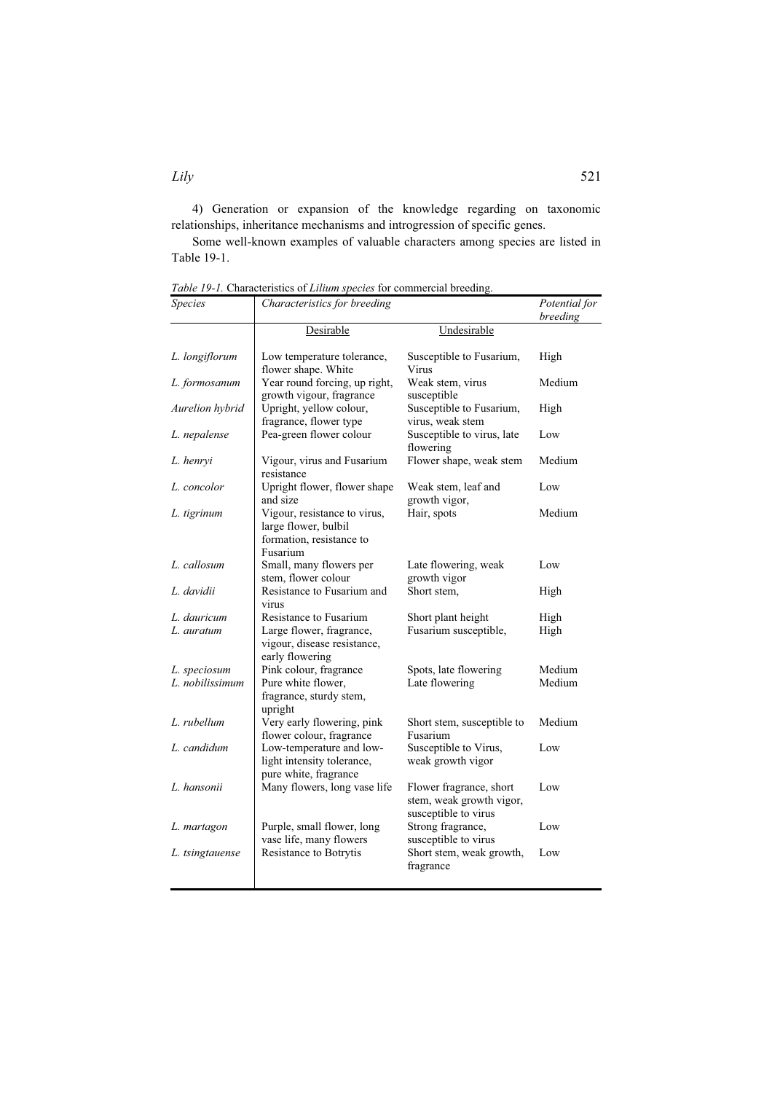4) Generation or expansion of the knowledge regarding on taxonomic relationships, inheritance mechanisms and introgression of specific genes.

Some well-known examples of valuable characters among species are listed in Table 19-1.

| <b>Species</b>                  | Characteristics for breeding                                                                         |                                                                             | Potential for<br>breeding |
|---------------------------------|------------------------------------------------------------------------------------------------------|-----------------------------------------------------------------------------|---------------------------|
|                                 | Desirable                                                                                            | Undesirable                                                                 |                           |
| L. longiflorum                  | Low temperature tolerance,<br>flower shape. White                                                    | Susceptible to Fusarium,<br>Virus                                           | High                      |
| L. formosanum                   | Year round forcing, up right,<br>growth vigour, fragrance                                            | Weak stem, virus<br>susceptible                                             | Medium                    |
| Aurelion hybrid                 | Upright, yellow colour,<br>fragrance, flower type                                                    | Susceptible to Fusarium,<br>virus, weak stem                                | High                      |
| L. nepalense                    | Pea-green flower colour                                                                              | Susceptible to virus, late<br>flowering                                     | Low                       |
| L. henryi                       | Vigour, virus and Fusarium<br>resistance                                                             | Flower shape, weak stem                                                     | Medium                    |
| L. concolor                     | Upright flower, flower shape<br>and size                                                             | Weak stem, leaf and<br>growth vigor,                                        | Low                       |
| L. tigrinum                     | Vigour, resistance to virus,<br>large flower, bulbil<br>formation, resistance to<br>Fusarium         | Hair, spots                                                                 | Medium                    |
| L. callosum                     | Small, many flowers per<br>stem, flower colour                                                       | Late flowering, weak<br>growth vigor                                        | Low                       |
| L. davidii                      | Resistance to Fusarium and<br>virus                                                                  | Short stem,                                                                 | High                      |
| L. dauricum<br>L. auratum       | Resistance to Fusarium<br>Large flower, fragrance,<br>vigour, disease resistance,<br>early flowering | Short plant height<br>Fusarium susceptible,                                 | High<br>High              |
| L. speciosum<br>L. nobilissimum | Pink colour, fragrance<br>Pure white flower,<br>fragrance, sturdy stem,<br>upright                   | Spots, late flowering<br>Late flowering                                     | Medium<br>Medium          |
| L. rubellum                     | Very early flowering, pink<br>flower colour, fragrance                                               | Short stem, susceptible to<br>Fusarium                                      | Medium                    |
| L. candidum                     | Low-temperature and low-<br>light intensity tolerance,<br>pure white, fragrance                      | Susceptible to Virus,<br>weak growth vigor                                  | Low                       |
| L. hansonii                     | Many flowers, long vase life                                                                         | Flower fragrance, short<br>stem, weak growth vigor,<br>susceptible to virus | Low                       |
| L. martagon                     | Purple, small flower, long<br>vase life, many flowers                                                | Strong fragrance,<br>susceptible to virus                                   | Low                       |
| L. tsingtauense                 | Resistance to Botrytis                                                                               | Short stem, weak growth,<br>fragrance                                       | Low                       |

*Table 19-1.* Characteristics of *Lilium species* for commercial breeding.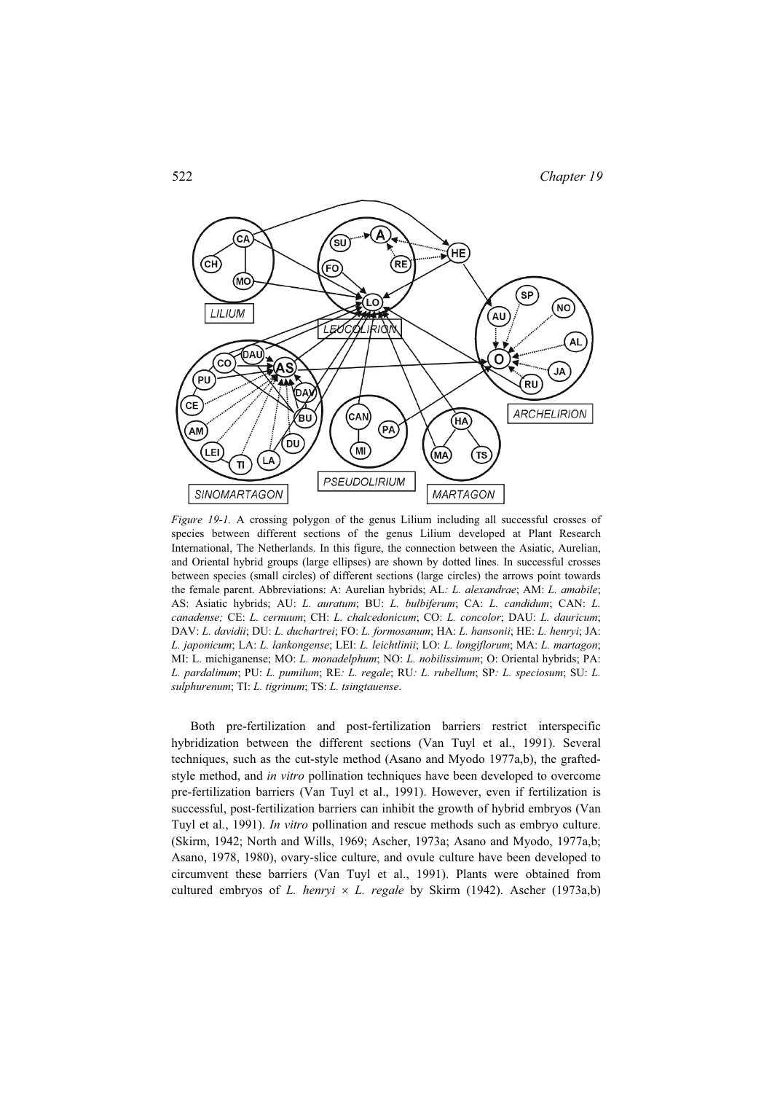

*Figure 19-1.* A crossing polygon of the genus Lilium including all successful crosses of species between different sections of the genus Lilium developed at Plant Research International, The Netherlands. In this figure, the connection between the Asiatic, Aurelian, and Oriental hybrid groups (large ellipses) are shown by dotted lines. In successful crosses between species (small circles) of different sections (large circles) the arrows point towards the female parent. Abbreviations: A: Aurelian hybrids; AL*: L. alexandrae*; AM: *L. amabile*; AS: Asiatic hybrids; AU: *L. auratum*; BU: *L. bulbiferum*; CA: *L. candidum*; CAN: *L. canadense;* CE: *L. cernuum*; CH: *L. chalcedonicum*; CO: *L. concolor*; DAU: *L. dauricum*; DAV: *L. davidii*; DU: *L. duchartrei*; FO: *L. formosanum*; HA: *L. hansonii*; HE: *L. henryi*; JA: *L. japonicum*; LA: *L. lankongense*; LEI: *L. leichtlinii*; LO: *L. longiflorum*; MA: *L. martagon*; MI: L. michiganense; MO: *L. monadelphum*; NO: *L. nobilissimum*; O: Oriental hybrids; PA: *L. pardalinum*; PU: *L. pumilum*; RE*: L. regale*; RU*: L. rubellum*; SP*: L. speciosum*; SU: *L. sulphurenum*; TI: *L. tigrinum*; TS: *L. tsingtauense*.

Both pre-fertilization and post-fertilization barriers restrict interspecific hybridization between the different sections (Van Tuyl et al., 1991). Several techniques, such as the cut-style method (Asano and Myodo 1977a,b), the graftedstyle method, and *in vitro* pollination techniques have been developed to overcome pre-fertilization barriers (Van Tuyl et al., 1991). However, even if fertilization is successful, post-fertilization barriers can inhibit the growth of hybrid embryos (Van Tuyl et al., 1991). *In vitro* pollination and rescue methods such as embryo culture. (Skirm, 1942; North and Wills, 1969; Ascher, 1973a; Asano and Myodo, 1977a,b; Asano, 1978, 1980), ovary-slice culture, and ovule culture have been developed to circumvent these barriers (Van Tuyl et al., 1991). Plants were obtained from cultured embryos of *L. henryi*  $\times$  *L. regale* by Skirm (1942). Ascher (1973a,b)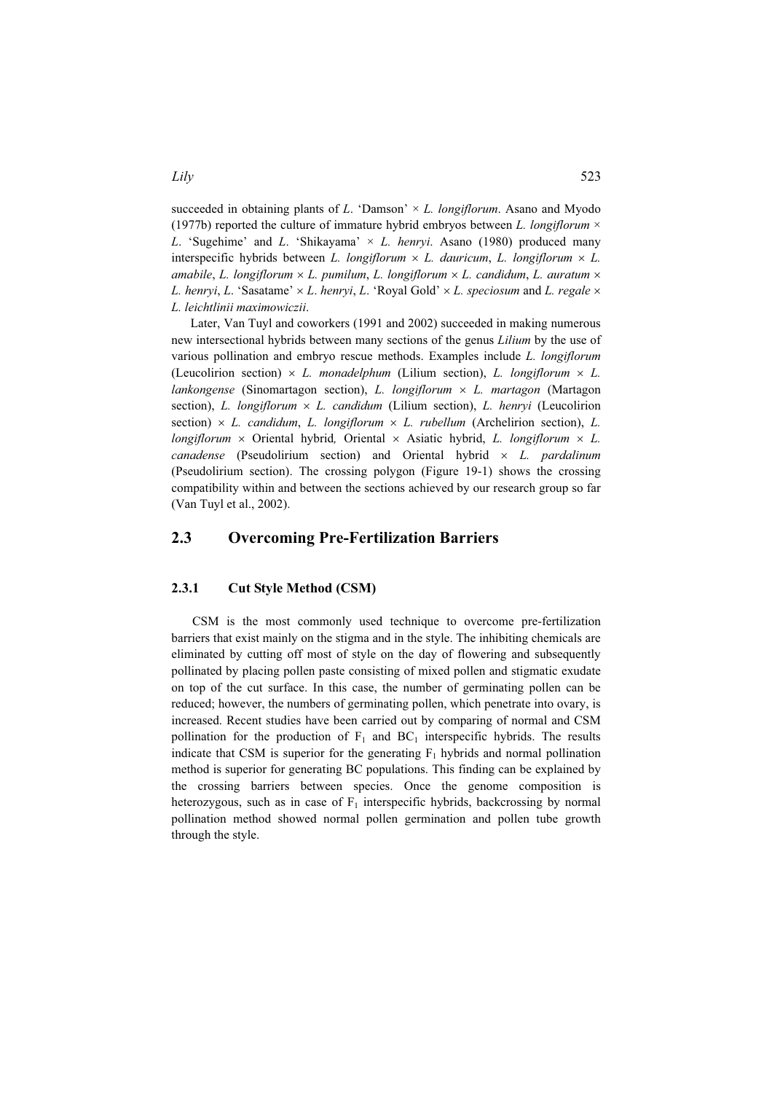succeeded in obtaining plants of *L*. 'Damson'  $\times$  *L. longiflorum*. Asano and Myodo (1977b) reported the culture of immature hybrid embryos between *L. longiflorum* × *L*. 'Sugehime' and *L*. 'Shikayama' × *L. henryi*. Asano (1980) produced many interspecific hybrids between *L. longiflorum*  $\times$  *L. dauricum*, *L. longiflorum*  $\times$  *L. amabile, L. longiflorum* × *L. pumilum, L. longiflorum* × *L. candidum, L. auratum* × *L. henryi, L.* 'Sasatame'  $\times$  *L. henryi, L.* 'Royal Gold'  $\times$  *L. speciosum* and *L. regale*  $\times$ *L. leichtlinii maximowiczii*.

Later, Van Tuyl and coworkers (1991 and 2002) succeeded in making numerous new intersectional hybrids between many sections of the genus *Lilium* by the use of various pollination and embryo rescue methods. Examples include *L. longiflorum* (Leucolirion section)  $\times$  *L. monadelphum* (Lilium section), *L. longiflorum*  $\times$  *L. lankongense* (Sinomartagon section), *L. longiflorum* × *L. martagon* (Martagon section), *L. longiflorum*  $\times$  *L. candidum* (Lilium section), *L. henryi* (Leucolirion section)  $\times$  *L. candidum, L. longiflorum*  $\times$  *L. rubellum* (Archelirion section), *L. longiflorum*  $\times$  Oriental hybrid, Oriental  $\times$  Asiatic hybrid, *L. longiflorum*  $\times$  *L. canadense* (Pseudolirium section) and Oriental hybrid  $\times$  *L. pardalinum* (Pseudolirium section). The crossing polygon (Figure 19-1) shows the crossing compatibility within and between the sections achieved by our research group so far (Van Tuyl et al., 2002).

### **2.3 Overcoming Pre-Fertilization Barriers**

### **2.3.1 Cut Style Method (CSM)**

CSM is the most commonly used technique to overcome pre-fertilization barriers that exist mainly on the stigma and in the style. The inhibiting chemicals are eliminated by cutting off most of style on the day of flowering and subsequently pollinated by placing pollen paste consisting of mixed pollen and stigmatic exudate on top of the cut surface. In this case, the number of germinating pollen can be reduced; however, the numbers of germinating pollen, which penetrate into ovary, is increased. Recent studies have been carried out by comparing of normal and CSM pollination for the production of  $F_1$  and  $BC_1$  interspecific hybrids. The results indicate that CSM is superior for the generating  $F_1$  hybrids and normal pollination method is superior for generating BC populations. This finding can be explained by the crossing barriers between species. Once the genome composition is heterozygous, such as in case of  $F_1$  interspecific hybrids, backcrossing by normal pollination method showed normal pollen germination and pollen tube growth through the style.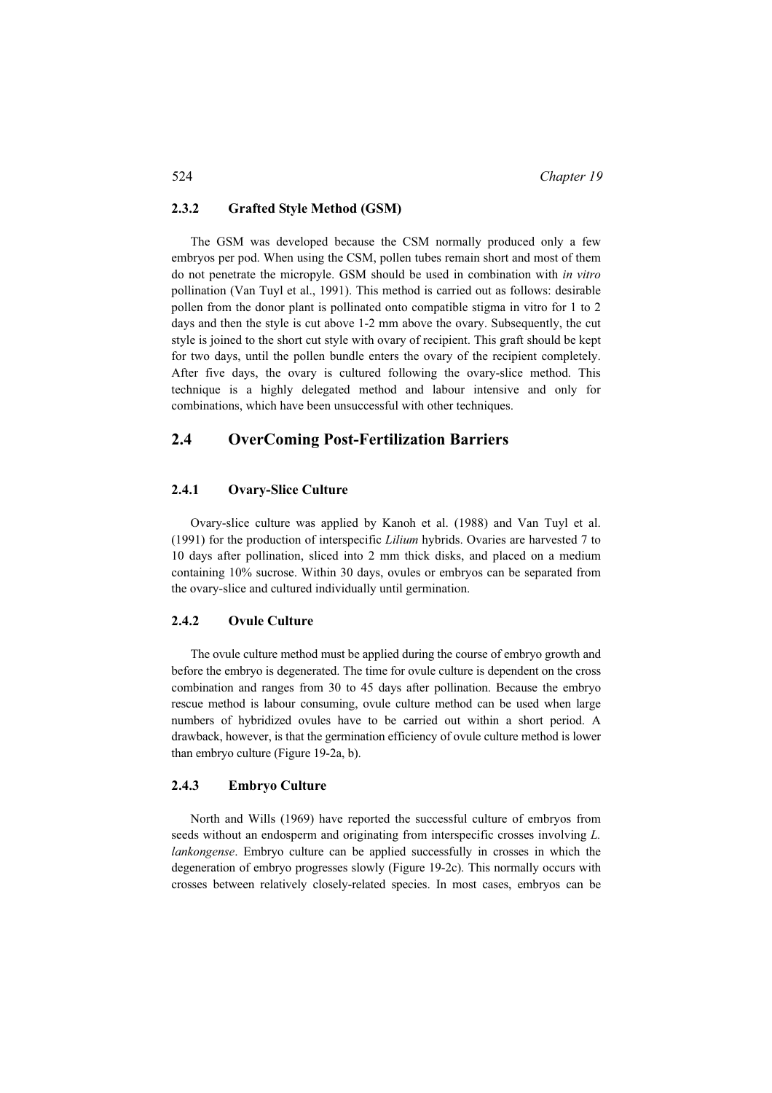#### **2.3.2 Grafted Style Method (GSM)**

The GSM was developed because the CSM normally produced only a few embryos per pod. When using the CSM, pollen tubes remain short and most of them do not penetrate the micropyle. GSM should be used in combination with *in vitro* pollination (Van Tuyl et al., 1991). This method is carried out as follows: desirable pollen from the donor plant is pollinated onto compatible stigma in vitro for 1 to 2 days and then the style is cut above 1-2 mm above the ovary. Subsequently, the cut style is joined to the short cut style with ovary of recipient. This graft should be kept for two days, until the pollen bundle enters the ovary of the recipient completely. After five days, the ovary is cultured following the ovary-slice method. This technique is a highly delegated method and labour intensive and only for combinations, which have been unsuccessful with other techniques.

### **2.4 OverComing Post-Fertilization Barriers**

### **2.4.1 Ovary-Slice Culture**

Ovary-slice culture was applied by Kanoh et al. (1988) and Van Tuyl et al. (1991) for the production of interspecific *Lilium* hybrids. Ovaries are harvested 7 to 10 days after pollination, sliced into 2 mm thick disks, and placed on a medium containing 10% sucrose. Within 30 days, ovules or embryos can be separated from the ovary-slice and cultured individually until germination.

# **2.4.2 Ovule Culture**

The ovule culture method must be applied during the course of embryo growth and before the embryo is degenerated. The time for ovule culture is dependent on the cross combination and ranges from 30 to 45 days after pollination. Because the embryo rescue method is labour consuming, ovule culture method can be used when large numbers of hybridized ovules have to be carried out within a short period. A drawback, however, is that the germination efficiency of ovule culture method is lower than embryo culture (Figure 19-2a, b).

#### **2.4.3 Embryo Culture**

North and Wills (1969) have reported the successful culture of embryos from seeds without an endosperm and originating from interspecific crosses involving *L. lankongense*. Embryo culture can be applied successfully in crosses in which the degeneration of embryo progresses slowly (Figure 19-2c). This normally occurs with crosses between relatively closely-related species. In most cases, embryos can be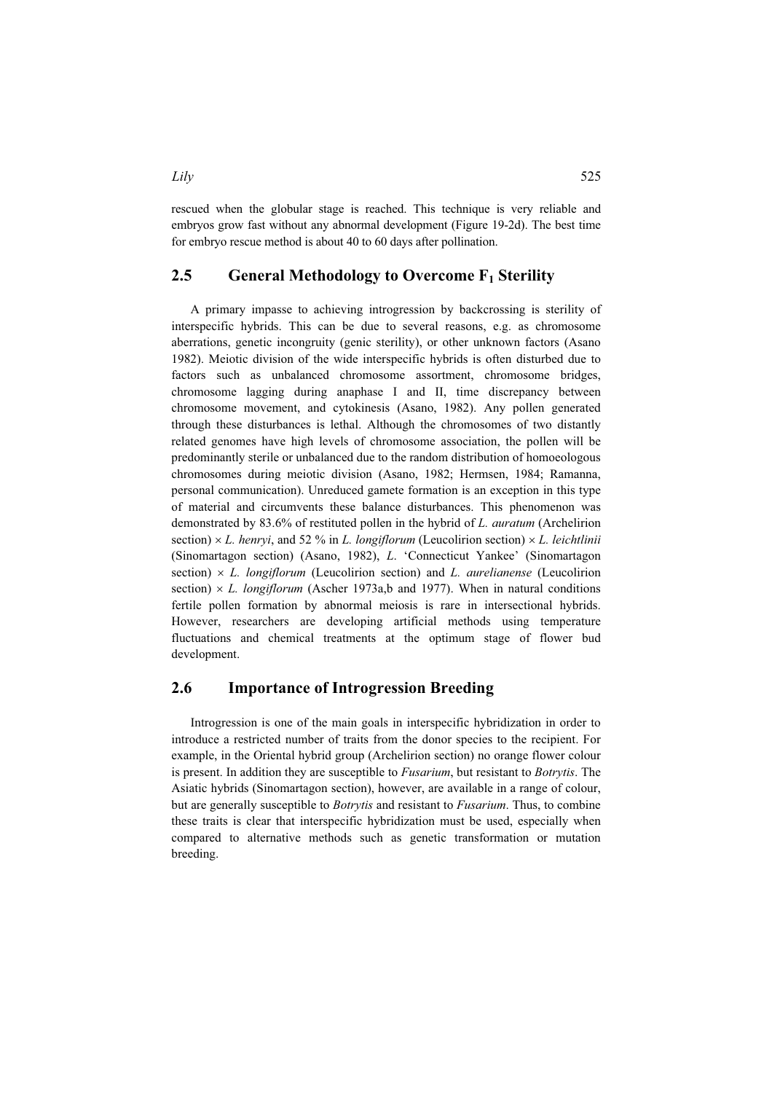rescued when the globular stage is reached. This technique is very reliable and embryos grow fast without any abnormal development (Figure 19-2d). The best time for embryo rescue method is about 40 to 60 days after pollination.

### **2.5 General Methodology to Overcome F<sub>1</sub> Sterility**

A primary impasse to achieving introgression by backcrossing is sterility of interspecific hybrids. This can be due to several reasons, e.g. as chromosome aberrations, genetic incongruity (genic sterility), or other unknown factors (Asano 1982). Meiotic division of the wide interspecific hybrids is often disturbed due to factors such as unbalanced chromosome assortment, chromosome bridges, chromosome lagging during anaphase I and II, time discrepancy between chromosome movement, and cytokinesis (Asano, 1982). Any pollen generated through these disturbances is lethal. Although the chromosomes of two distantly related genomes have high levels of chromosome association, the pollen will be predominantly sterile or unbalanced due to the random distribution of homoeologous chromosomes during meiotic division (Asano, 1982; Hermsen, 1984; Ramanna, personal communication). Unreduced gamete formation is an exception in this type of material and circumvents these balance disturbances. This phenomenon was demonstrated by 83.6% of restituted pollen in the hybrid of *L. auratum* (Archelirion section)  $\times$  *L. henryi*, and 52 % in *L. longiflorum* (Leucolirion section)  $\times$  *L. leichtlinii* (Sinomartagon section) (Asano, 1982), *L*. 'Connecticut Yankee' (Sinomartagon section)  $\times$  *L. longiflorum* (Leucolirion section) and *L. aurelianense* (Leucolirion section)  $\times$  *L. longiflorum* (Ascher 1973a,b and 1977). When in natural conditions fertile pollen formation by abnormal meiosis is rare in intersectional hybrids. However, researchers are developing artificial methods using temperature fluctuations and chemical treatments at the optimum stage of flower bud development.

## **2.6 Importance of Introgression Breeding**

Introgression is one of the main goals in interspecific hybridization in order to introduce a restricted number of traits from the donor species to the recipient. For example, in the Oriental hybrid group (Archelirion section) no orange flower colour is present. In addition they are susceptible to *Fusarium*, but resistant to *Botrytis*. The Asiatic hybrids (Sinomartagon section), however, are available in a range of colour, but are generally susceptible to *Botrytis* and resistant to *Fusarium*. Thus, to combine these traits is clear that interspecific hybridization must be used, especially when compared to alternative methods such as genetic transformation or mutation breeding.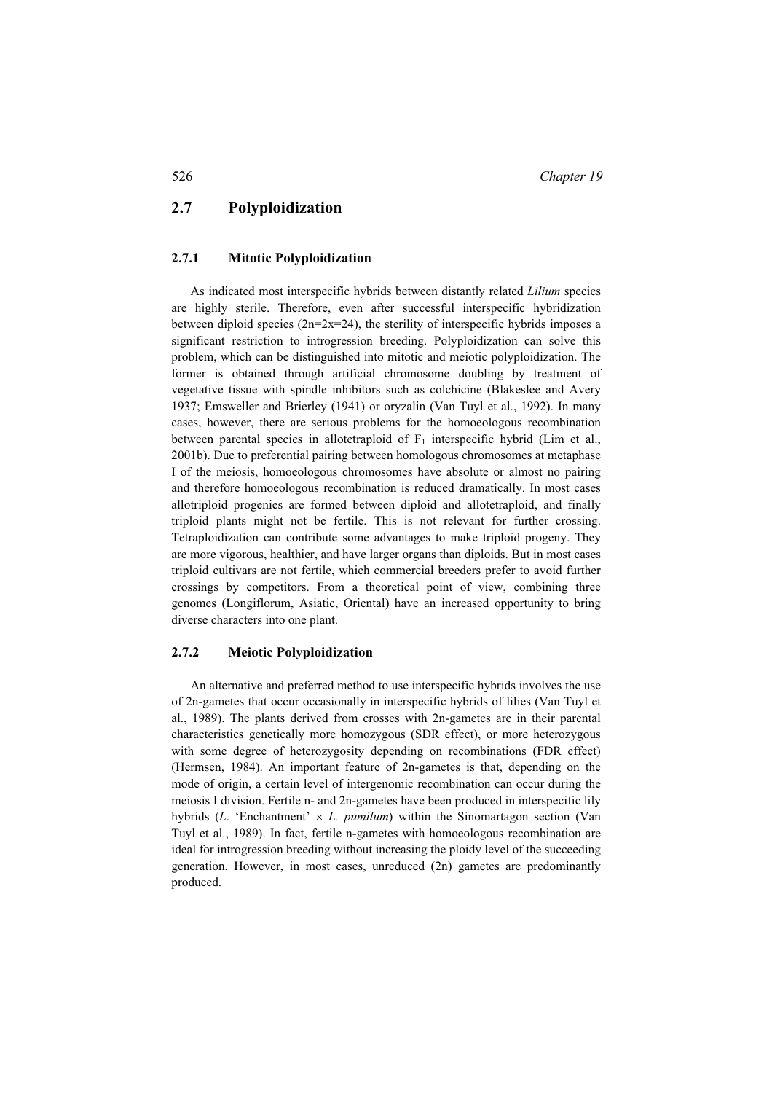# **2.7 Polyploidization**

### **2.7.1 Mitotic Polyploidization**

As indicated most interspecific hybrids between distantly related *Lilium* species are highly sterile. Therefore, even after successful interspecific hybridization between diploid species  $(2n=2x=24)$ , the sterility of interspecific hybrids imposes a significant restriction to introgression breeding. Polyploidization can solve this problem, which can be distinguished into mitotic and meiotic polyploidization. The former is obtained through artificial chromosome doubling by treatment of vegetative tissue with spindle inhibitors such as colchicine (Blakeslee and Avery 1937; Emsweller and Brierley (1941) or oryzalin (Van Tuyl et al., 1992). In many cases, however, there are serious problems for the homoeologous recombination between parental species in allotetraploid of  $F_1$  interspecific hybrid (Lim et al., 2001b). Due to preferential pairing between homologous chromosomes at metaphase I of the meiosis, homoeologous chromosomes have absolute or almost no pairing and therefore homoeologous recombination is reduced dramatically. In most cases allotriploid progenies are formed between diploid and allotetraploid, and finally triploid plants might not be fertile. This is not relevant for further crossing. Tetraploidization can contribute some advantages to make triploid progeny. They are more vigorous, healthier, and have larger organs than diploids. But in most cases triploid cultivars are not fertile, which commercial breeders prefer to avoid further crossings by competitors. From a theoretical point of view, combining three genomes (Longiflorum, Asiatic, Oriental) have an increased opportunity to bring diverse characters into one plant.

#### **2.7.2 Meiotic Polyploidization**

An alternative and preferred method to use interspecific hybrids involves the use of 2n-gametes that occur occasionally in interspecific hybrids of lilies (Van Tuyl et al., 1989). The plants derived from crosses with 2n-gametes are in their parental characteristics genetically more homozygous (SDR effect), or more heterozygous with some degree of heterozygosity depending on recombinations (FDR effect) (Hermsen, 1984). An important feature of 2n-gametes is that, depending on the mode of origin, a certain level of intergenomic recombination can occur during the meiosis I division. Fertile n- and 2n-gametes have been produced in interspecific lily hybrids (*L.* 'Enchantment'  $\times$  *L. pumilum*) within the Sinomartagon section (Van Tuyl et al., 1989). In fact, fertile n-gametes with homoeologous recombination are ideal for introgression breeding without increasing the ploidy level of the succeeding generation. However, in most cases, unreduced (2n) gametes are predominantly produced.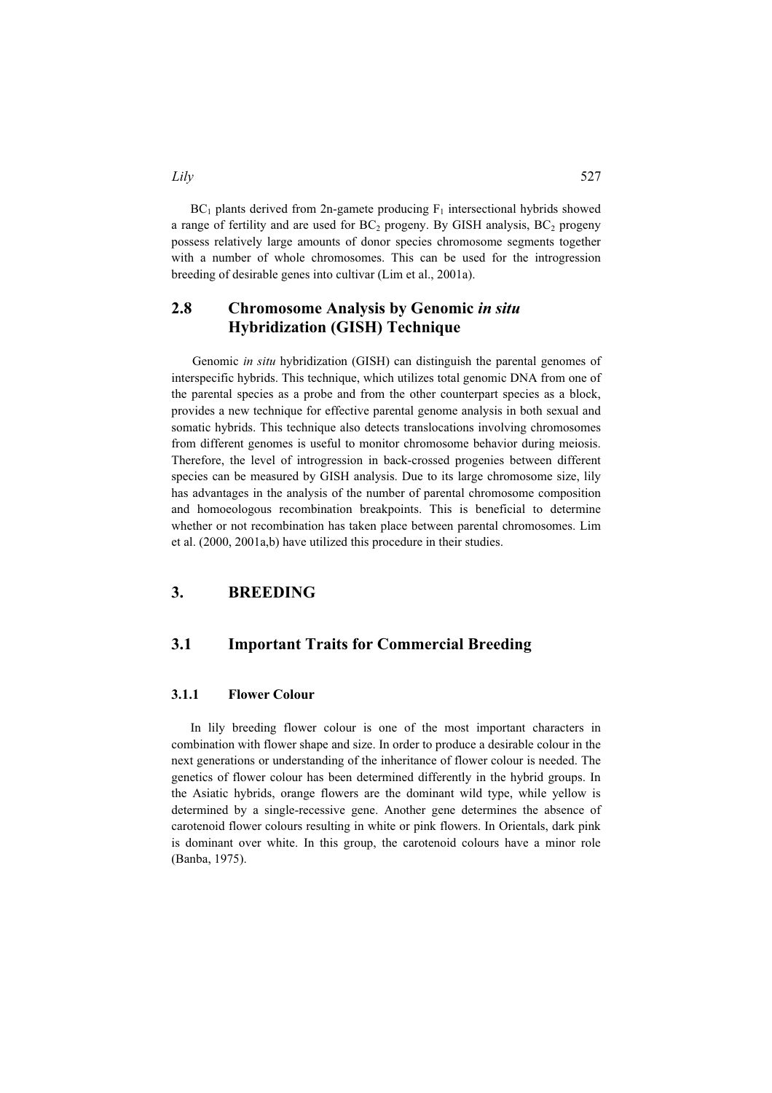# *Lily*

 $BC<sub>1</sub>$  plants derived from 2n-gamete producing  $F<sub>1</sub>$  intersectional hybrids showed a range of fertility and are used for  $BC_2$  progeny. By GISH analysis,  $BC_2$  progeny possess relatively large amounts of donor species chromosome segments together with a number of whole chromosomes. This can be used for the introgression breeding of desirable genes into cultivar (Lim et al., 2001a).

# **2.8 Chromosome Analysis by Genomic** *in situ* **Hybridization (GISH) Technique**

Genomic *in situ* hybridization (GISH) can distinguish the parental genomes of interspecific hybrids. This technique, which utilizes total genomic DNA from one of the parental species as a probe and from the other counterpart species as a block, provides a new technique for effective parental genome analysis in both sexual and somatic hybrids. This technique also detects translocations involving chromosomes from different genomes is useful to monitor chromosome behavior during meiosis. Therefore, the level of introgression in back-crossed progenies between different species can be measured by GISH analysis. Due to its large chromosome size, lily has advantages in the analysis of the number of parental chromosome composition and homoeologous recombination breakpoints. This is beneficial to determine whether or not recombination has taken place between parental chromosomes. Lim et al. (2000, 2001a,b) have utilized this procedure in their studies.

# **3. BREEDING**

### **3.1 Important Traits for Commercial Breeding**

#### **3.1.1 Flower Colour**

In lily breeding flower colour is one of the most important characters in combination with flower shape and size. In order to produce a desirable colour in the next generations or understanding of the inheritance of flower colour is needed. The genetics of flower colour has been determined differently in the hybrid groups. In the Asiatic hybrids, orange flowers are the dominant wild type, while yellow is determined by a single-recessive gene. Another gene determines the absence of carotenoid flower colours resulting in white or pink flowers. In Orientals, dark pink is dominant over white. In this group, the carotenoid colours have a minor role (Banba, 1975).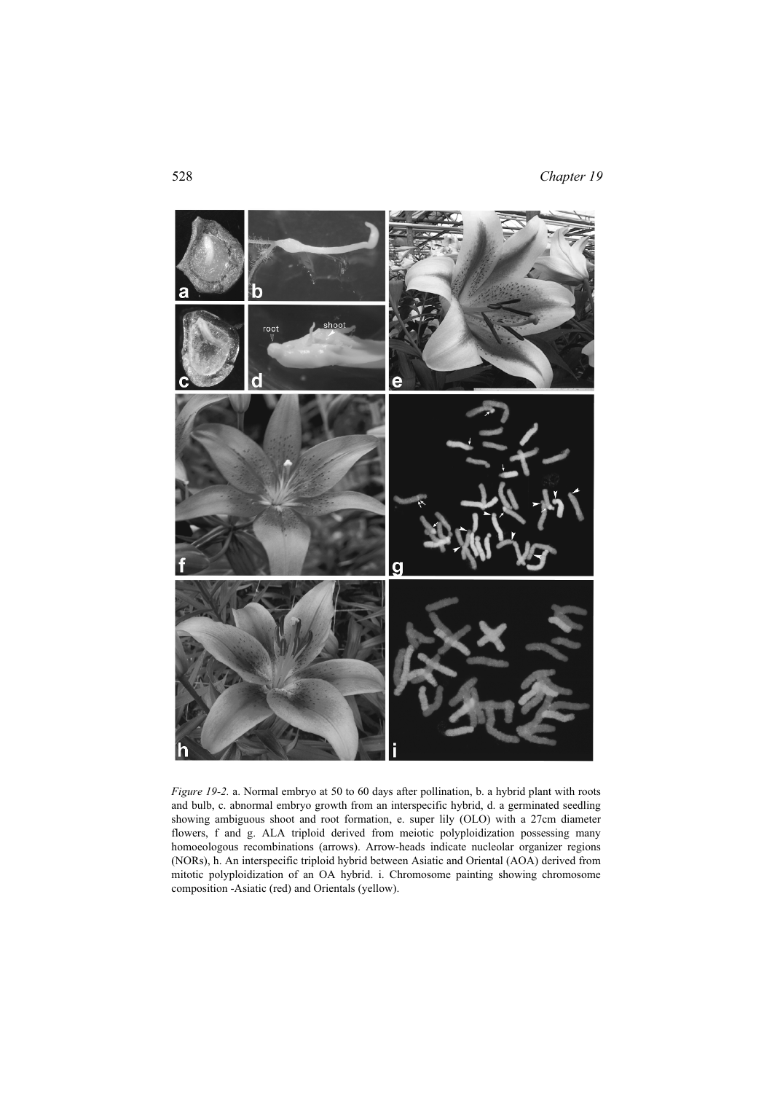

*Figure 19-2.* a. Normal embryo at 50 to 60 days after pollination, b. a hybrid plant with roots and bulb, c. abnormal embryo growth from an interspecific hybrid, d. a germinated seedling showing ambiguous shoot and root formation, e. super lily (OLO) with a 27cm diameter flowers, f and g. ALA triploid derived from meiotic polyploidization possessing many homoeologous recombinations (arrows). Arrow-heads indicate nucleolar organizer regions (NORs), h. An interspecific triploid hybrid between Asiatic and Oriental (AOA) derived from mitotic polyploidization of an OA hybrid. i. Chromosome painting showing chromosome composition -Asiatic (red) and Orientals (yellow).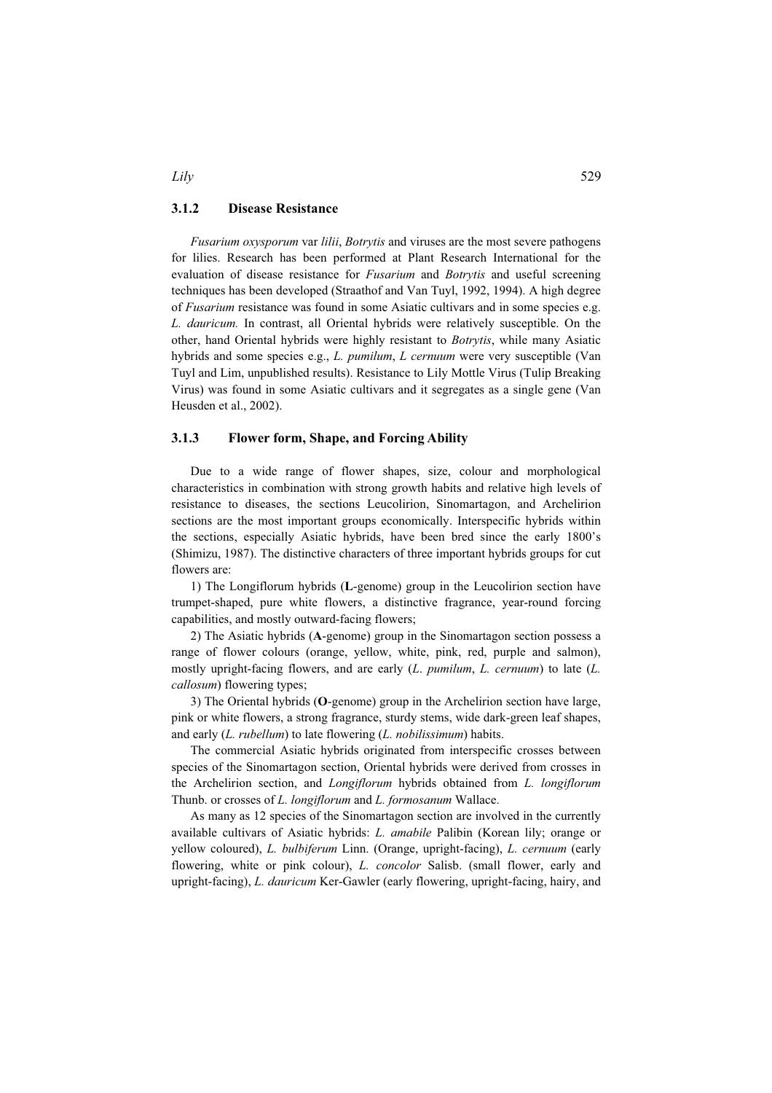#### **3.1.2 Disease Resistance**

*Fusarium oxysporum* var *lilii*, *Botrytis* and viruses are the most severe pathogens for lilies. Research has been performed at Plant Research International for the evaluation of disease resistance for *Fusarium* and *Botrytis* and useful screening techniques has been developed (Straathof and Van Tuyl, 1992, 1994). A high degree of *Fusarium* resistance was found in some Asiatic cultivars and in some species e.g. *L. dauricum.* In contrast, all Oriental hybrids were relatively susceptible. On the other, hand Oriental hybrids were highly resistant to *Botrytis*, while many Asiatic hybrids and some species e.g., *L. pumilum*, *L cernuum* were very susceptible (Van Tuyl and Lim, unpublished results). Resistance to Lily Mottle Virus (Tulip Breaking Virus) was found in some Asiatic cultivars and it segregates as a single gene (Van Heusden et al., 2002).

#### **3.1.3 Flower form, Shape, and Forcing Ability**

Due to a wide range of flower shapes, size, colour and morphological characteristics in combination with strong growth habits and relative high levels of resistance to diseases, the sections Leucolirion, Sinomartagon, and Archelirion sections are the most important groups economically. Interspecific hybrids within the sections, especially Asiatic hybrids, have been bred since the early 1800's (Shimizu, 1987). The distinctive characters of three important hybrids groups for cut flowers are:

1) The Longiflorum hybrids (**L**-genome) group in the Leucolirion section have trumpet-shaped, pure white flowers, a distinctive fragrance, year-round forcing capabilities, and mostly outward-facing flowers;

2) The Asiatic hybrids (**A**-genome) group in the Sinomartagon section possess a range of flower colours (orange, yellow, white, pink, red, purple and salmon), mostly upright-facing flowers, and are early (*L*. *pumilum*, *L. cernuum*) to late (*L. callosum*) flowering types;

3) The Oriental hybrids (**O**-genome) group in the Archelirion section have large, pink or white flowers, a strong fragrance, sturdy stems, wide dark-green leaf shapes, and early (*L. rubellum*) to late flowering (*L. nobilissimum*) habits.

The commercial Asiatic hybrids originated from interspecific crosses between species of the Sinomartagon section, Oriental hybrids were derived from crosses in the Archelirion section, and *Longiflorum* hybrids obtained from *L. longiflorum* Thunb. or crosses of *L. longiflorum* and *L. formosanum* Wallace.

As many as 12 species of the Sinomartagon section are involved in the currently available cultivars of Asiatic hybrids: *L. amabile* Palibin (Korean lily; orange or yellow coloured), *L. bulbiferum* Linn. (Orange, upright-facing), *L. cernuum* (early flowering, white or pink colour), *L. concolor* Salisb. (small flower, early and upright-facing), *L. dauricum* Ker-Gawler (early flowering, upright-facing, hairy, and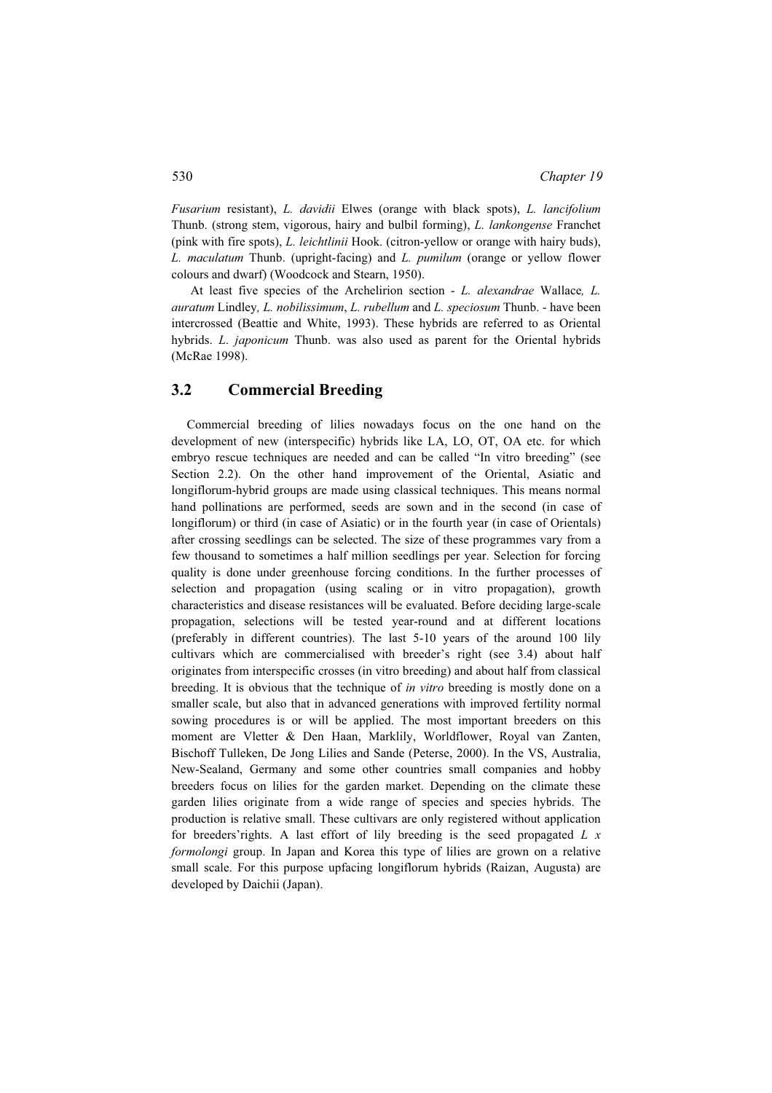*Fusarium* resistant), *L. davidii* Elwes (orange with black spots), *L. lancifolium* Thunb. (strong stem, vigorous, hairy and bulbil forming), *L. lankongense* Franchet (pink with fire spots), *L. leichtlinii* Hook. (citron-yellow or orange with hairy buds), *L. maculatum* Thunb. (upright-facing) and *L. pumilum* (orange or yellow flower colours and dwarf) (Woodcock and Stearn, 1950).

At least five species of the Archelirion section - *L. alexandrae* Wallace*, L. auratum* Lindley*, L. nobilissimum*, *L. rubellum* and *L. speciosum* Thunb. - have been intercrossed (Beattie and White, 1993). These hybrids are referred to as Oriental hybrids. *L*. *japonicum* Thunb. was also used as parent for the Oriental hybrids (McRae 1998).

## **3.2 Commercial Breeding**

Commercial breeding of lilies nowadays focus on the one hand on the development of new (interspecific) hybrids like LA, LO, OT, OA etc. for which embryo rescue techniques are needed and can be called "In vitro breeding" (see Section 2.2). On the other hand improvement of the Oriental, Asiatic and longiflorum-hybrid groups are made using classical techniques. This means normal hand pollinations are performed, seeds are sown and in the second (in case of longiflorum) or third (in case of Asiatic) or in the fourth year (in case of Orientals) after crossing seedlings can be selected. The size of these programmes vary from a few thousand to sometimes a half million seedlings per year. Selection for forcing quality is done under greenhouse forcing conditions. In the further processes of selection and propagation (using scaling or in vitro propagation), growth characteristics and disease resistances will be evaluated. Before deciding large-scale propagation, selections will be tested year-round and at different locations (preferably in different countries). The last 5-10 years of the around 100 lily cultivars which are commercialised with breeder's right (see 3.4) about half originates from interspecific crosses (in vitro breeding) and about half from classical breeding. It is obvious that the technique of *in vitro* breeding is mostly done on a smaller scale, but also that in advanced generations with improved fertility normal sowing procedures is or will be applied. The most important breeders on this moment are Vletter & Den Haan, Marklily, Worldflower, Royal van Zanten, Bischoff Tulleken, De Jong Lilies and Sande (Peterse, 2000). In the VS, Australia, New-Sealand, Germany and some other countries small companies and hobby breeders focus on lilies for the garden market. Depending on the climate these garden lilies originate from a wide range of species and species hybrids. The production is relative small. These cultivars are only registered without application for breeders'rights. A last effort of lily breeding is the seed propagated *L x formolongi* group. In Japan and Korea this type of lilies are grown on a relative small scale. For this purpose upfacing longiflorum hybrids (Raizan, Augusta) are developed by Daichii (Japan).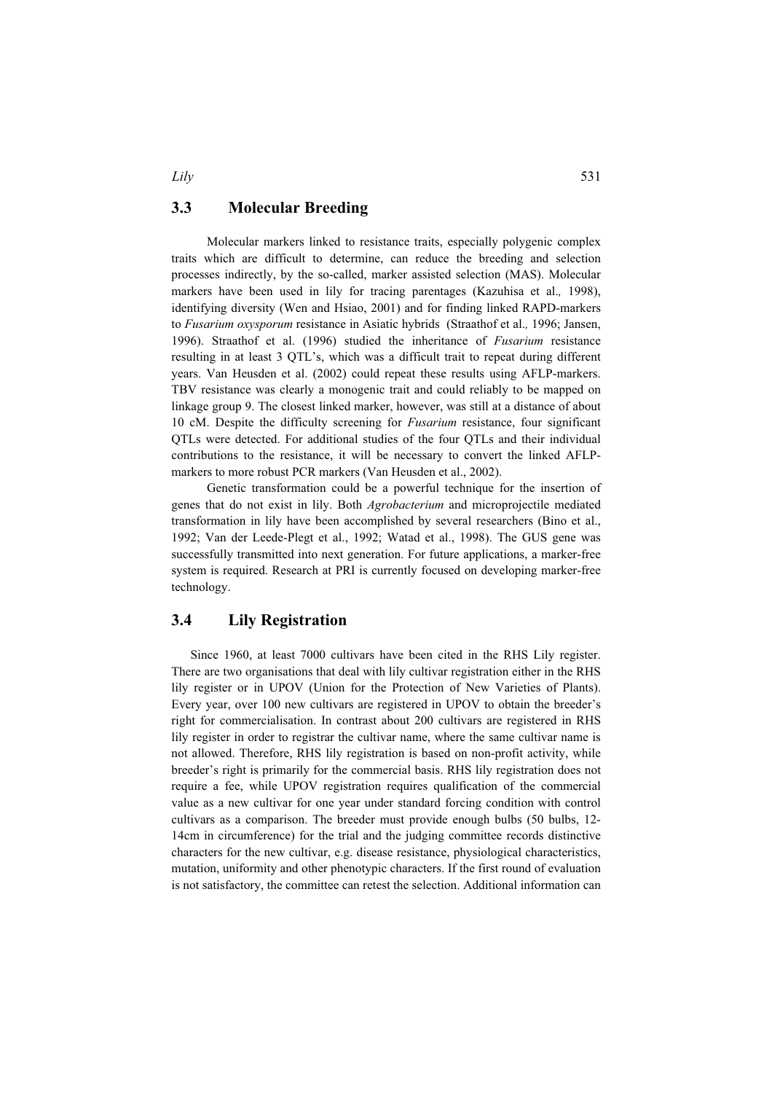## **3.3 Molecular Breeding**

Molecular markers linked to resistance traits, especially polygenic complex traits which are difficult to determine, can reduce the breeding and selection processes indirectly, by the so-called, marker assisted selection (MAS). Molecular markers have been used in lily for tracing parentages (Kazuhisa et al.*,* 1998), identifying diversity (Wen and Hsiao, 2001) and for finding linked RAPD-markers to *Fusarium oxysporum* resistance in Asiatic hybrids (Straathof et al.*,* 1996; Jansen, 1996). Straathof et al. (1996) studied the inheritance of *Fusarium* resistance resulting in at least 3 QTL's, which was a difficult trait to repeat during different years. Van Heusden et al. (2002) could repeat these results using AFLP-markers. TBV resistance was clearly a monogenic trait and could reliably to be mapped on linkage group 9. The closest linked marker, however, was still at a distance of about 10 cM. Despite the difficulty screening for *Fusarium* resistance, four significant QTLs were detected. For additional studies of the four QTLs and their individual contributions to the resistance, it will be necessary to convert the linked AFLPmarkers to more robust PCR markers (Van Heusden et al., 2002).

Genetic transformation could be a powerful technique for the insertion of genes that do not exist in lily. Both *Agrobacterium* and microprojectile mediated transformation in lily have been accomplished by several researchers (Bino et al., 1992; Van der Leede-Plegt et al., 1992; Watad et al., 1998). The GUS gene was successfully transmitted into next generation. For future applications, a marker-free system is required. Research at PRI is currently focused on developing marker-free technology.

### **3.4 Lily Registration**

Since 1960, at least 7000 cultivars have been cited in the RHS Lily register. There are two organisations that deal with lily cultivar registration either in the RHS lily register or in UPOV (Union for the Protection of New Varieties of Plants). Every year, over 100 new cultivars are registered in UPOV to obtain the breeder's right for commercialisation. In contrast about 200 cultivars are registered in RHS lily register in order to registrar the cultivar name, where the same cultivar name is not allowed. Therefore, RHS lily registration is based on non-profit activity, while breeder's right is primarily for the commercial basis. RHS lily registration does not require a fee, while UPOV registration requires qualification of the commercial value as a new cultivar for one year under standard forcing condition with control cultivars as a comparison. The breeder must provide enough bulbs (50 bulbs, 12- 14cm in circumference) for the trial and the judging committee records distinctive characters for the new cultivar, e.g. disease resistance, physiological characteristics, mutation, uniformity and other phenotypic characters. If the first round of evaluation is not satisfactory, the committee can retest the selection. Additional information can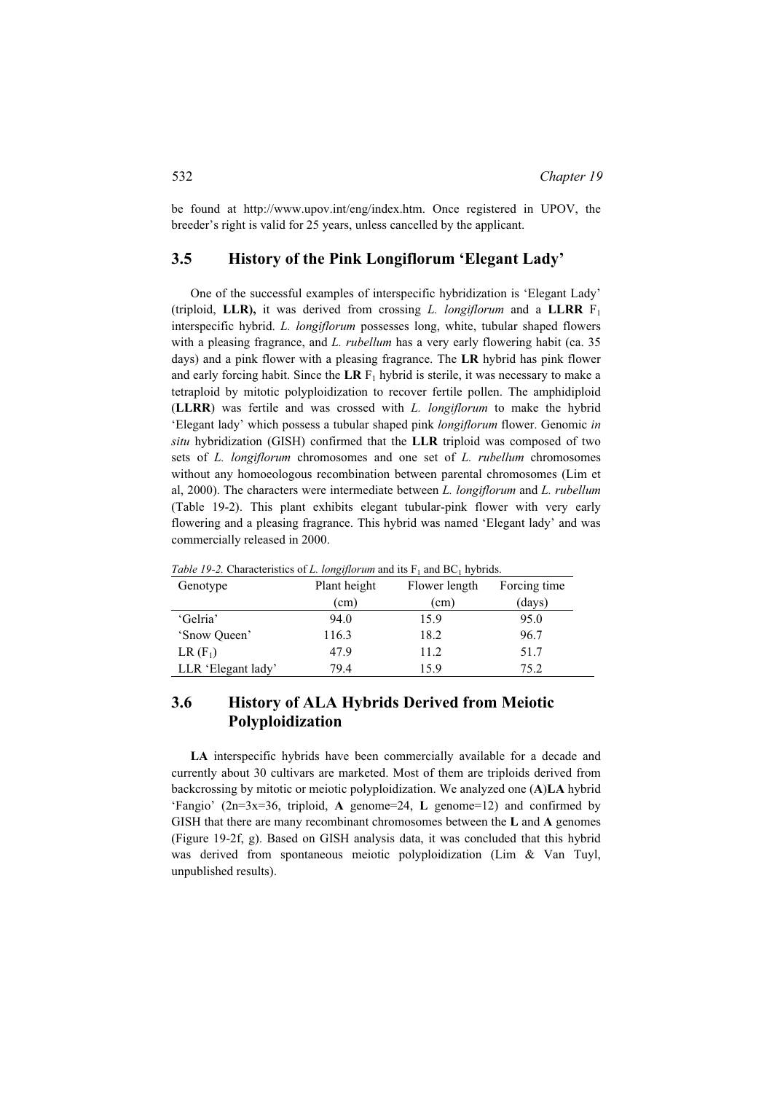be found at http://www.upov.int/eng/index.htm. Once registered in UPOV, the breeder's right is valid for 25 years, unless cancelled by the applicant.

# **3.5 History of the Pink Longiflorum 'Elegant Lady'**

One of the successful examples of interspecific hybridization is 'Elegant Lady' (triploid, **LLR),** it was derived from crossing *L. longiflorum* and a **LLRR** F1 interspecific hybrid. *L. longiflorum* possesses long, white, tubular shaped flowers with a pleasing fragrance, and *L. rubellum* has a very early flowering habit (ca. 35 days) and a pink flower with a pleasing fragrance. The **LR** hybrid has pink flower and early forcing habit. Since the LR  $F_1$  hybrid is sterile, it was necessary to make a tetraploid by mitotic polyploidization to recover fertile pollen. The amphidiploid (**LLRR**) was fertile and was crossed with *L. longiflorum* to make the hybrid 'Elegant lady' which possess a tubular shaped pink *longiflorum* flower. Genomic *in situ* hybridization (GISH) confirmed that the **LLR** triploid was composed of two sets of *L. longiflorum* chromosomes and one set of *L. rubellum* chromosomes without any homoeologous recombination between parental chromosomes (Lim et al, 2000). The characters were intermediate between *L. longiflorum* and *L. rubellum* (Table 19-2). This plant exhibits elegant tubular-pink flower with very early flowering and a pleasing fragrance. This hybrid was named 'Elegant lady' and was commercially released in 2000.

| Tuble 19-2. Characteristics of <i>E. Tonghtorum</i> and its 1   and DC   hybrids. |              |               |              |  |  |
|-----------------------------------------------------------------------------------|--------------|---------------|--------------|--|--|
| Genotype                                                                          | Plant height | Flower length | Forcing time |  |  |
|                                                                                   | (cm)         | (cm)          | (days)       |  |  |
| 'Gelria'                                                                          | 94.0         | 15.9          | 95.0         |  |  |
| 'Snow Queen'                                                                      | 116.3        | 18.2          | 96.7         |  |  |
| $LR(F_1)$                                                                         | 47.9         | 11.2          | 51.7         |  |  |
| LLR 'Elegant lady'                                                                | 79.4         | 15.9          | 75.2         |  |  |

*Table 19-2.* Characteristics of *L. longiflorum* and its F<sub>1</sub> and BC<sub>1</sub> hybrids.

# **3.6 History of ALA Hybrids Derived from Meiotic Polyploidization**

**LA** interspecific hybrids have been commercially available for a decade and currently about 30 cultivars are marketed. Most of them are triploids derived from backcrossing by mitotic or meiotic polyploidization. We analyzed one (**A**)**LA** hybrid 'Fangio' (2n=3x=36, triploid, **A** genome=24, **L** genome=12) and confirmed by GISH that there are many recombinant chromosomes between the **L** and **A** genomes (Figure 19-2f, g). Based on GISH analysis data, it was concluded that this hybrid was derived from spontaneous meiotic polyploidization (Lim & Van Tuyl, unpublished results).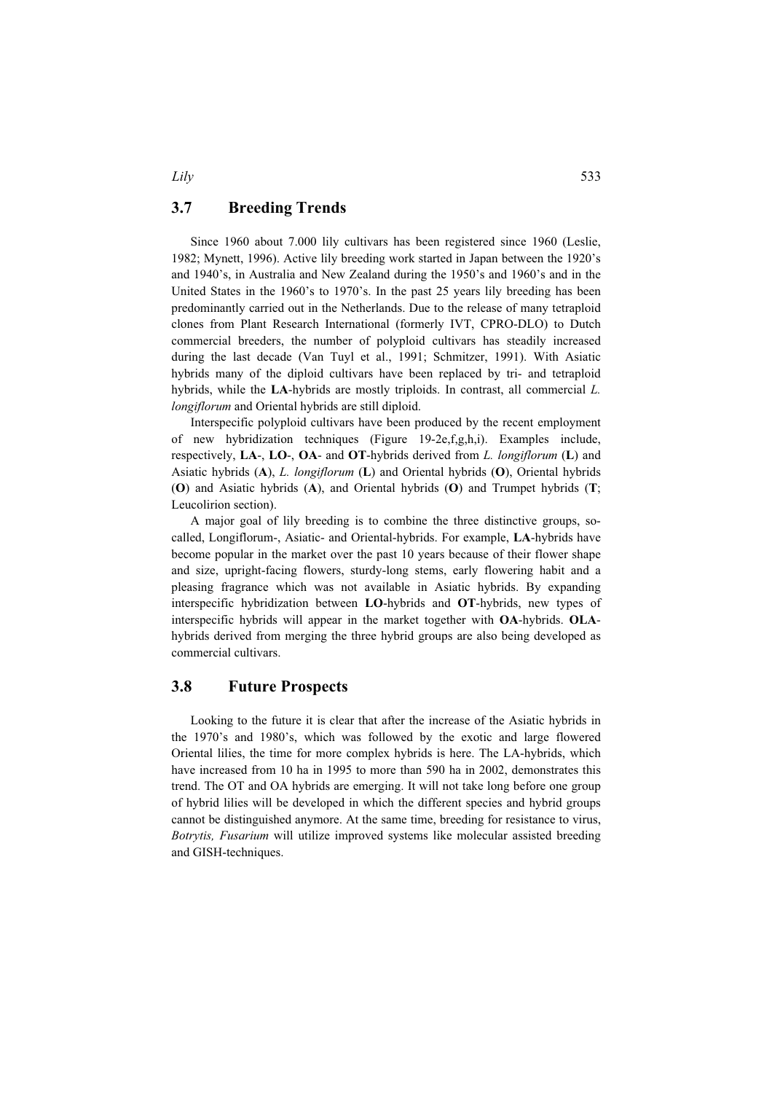## **3.7 Breeding Trends**

Since 1960 about 7.000 lily cultivars has been registered since 1960 (Leslie, 1982; Mynett, 1996). Active lily breeding work started in Japan between the 1920's and 1940's, in Australia and New Zealand during the 1950's and 1960's and in the United States in the 1960's to 1970's. In the past 25 years lily breeding has been predominantly carried out in the Netherlands. Due to the release of many tetraploid clones from Plant Research International (formerly IVT, CPRO-DLO) to Dutch commercial breeders, the number of polyploid cultivars has steadily increased during the last decade (Van Tuyl et al., 1991; Schmitzer, 1991). With Asiatic hybrids many of the diploid cultivars have been replaced by tri- and tetraploid hybrids, while the **LA**-hybrids are mostly triploids. In contrast, all commercial *L. longiflorum* and Oriental hybrids are still diploid.

Interspecific polyploid cultivars have been produced by the recent employment of new hybridization techniques (Figure 19-2e,f,g,h,i). Examples include, respectively, **LA**-, **LO**-, **OA**- and **OT**-hybrids derived from *L. longiflorum* (**L**) and Asiatic hybrids (**A**), *L. longiflorum* (**L**) and Oriental hybrids (**O**), Oriental hybrids (**O**) and Asiatic hybrids (**A**), and Oriental hybrids (**O**) and Trumpet hybrids (**T**; Leucolirion section).

A major goal of lily breeding is to combine the three distinctive groups, socalled, Longiflorum-, Asiatic- and Oriental-hybrids. For example, **LA**-hybrids have become popular in the market over the past 10 years because of their flower shape and size, upright-facing flowers, sturdy-long stems, early flowering habit and a pleasing fragrance which was not available in Asiatic hybrids. By expanding interspecific hybridization between **LO**-hybrids and **OT**-hybrids, new types of interspecific hybrids will appear in the market together with **OA**-hybrids. **OLA**hybrids derived from merging the three hybrid groups are also being developed as commercial cultivars.

#### **3.8 Future Prospects**

Looking to the future it is clear that after the increase of the Asiatic hybrids in the 1970's and 1980's, which was followed by the exotic and large flowered Oriental lilies, the time for more complex hybrids is here. The LA-hybrids, which have increased from 10 ha in 1995 to more than 590 ha in 2002, demonstrates this trend. The OT and OA hybrids are emerging. It will not take long before one group of hybrid lilies will be developed in which the different species and hybrid groups cannot be distinguished anymore. At the same time, breeding for resistance to virus, *Botrytis, Fusarium* will utilize improved systems like molecular assisted breeding and GISH-techniques.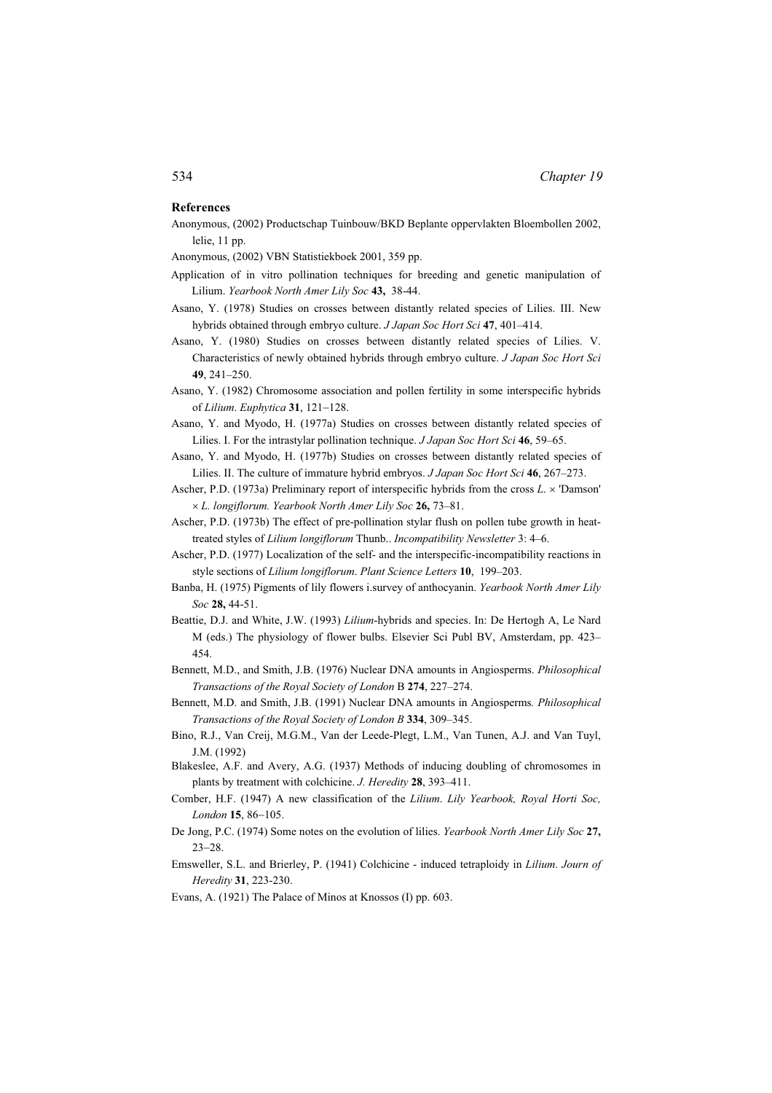#### **References**

Anonymous, (2002) Productschap Tuinbouw/BKD Beplante oppervlakten Bloembollen 2002, lelie, 11 pp.

Anonymous, (2002) VBN Statistiekboek 2001, 359 pp.

- Application of in vitro pollination techniques for breeding and genetic manipulation of Lilium. *Yearbook North Amer Lily Soc* **43,** 38-44.
- Asano, Y. (1978) Studies on crosses between distantly related species of Lilies. III. New hybrids obtained through embryo culture. *J Japan Soc Hort Sci* **47**, 401–414.
- Asano, Y. (1980) Studies on crosses between distantly related species of Lilies. V. Characteristics of newly obtained hybrids through embryo culture. *J Japan Soc Hort Sci* **49**, 241–250.
- Asano, Y. (1982) Chromosome association and pollen fertility in some interspecific hybrids of *Lilium. Euphytica* 31, 121-128.
- Asano, Y. and Myodo, H. (1977a) Studies on crosses between distantly related species of Lilies. I. For the intrastylar pollination technique. *J Japan Soc Hort Sci* **46**, 59–65.
- Asano, Y. and Myodo, H. (1977b) Studies on crosses between distantly related species of Lilies. II. The culture of immature hybrid embryos. *J Japan Soc Hort Sci* **46**, 267–273.
- Ascher, P.D. (1973a) Preliminary report of interspecific hybrids from the cross *L*. × 'Damson' u *L. longiflorum. Yearbook North Amer Lily Soc* **26,** 73–81.
- Ascher, P.D. (1973b) The effect of pre-pollination stylar flush on pollen tube growth in heattreated styles of *Lilium longiflorum* Thunb.. *Incompatibility Newsletter* 3: 4–6.
- Ascher, P.D. (1977) Localization of the self- and the interspecific-incompatibility reactions in style sections of *Lilium longiflorum*. *Plant Science Letters* **10**, 199–203.
- Banba, H. (1975) Pigments of lily flowers i.survey of anthocyanin. *Yearbook North Amer Lily Soc* **28,** 44-51.
- Beattie, D.J. and White, J.W. (1993) *Lilium*-hybrids and species. In: De Hertogh A, Le Nard M (eds.) The physiology of flower bulbs. Elsevier Sci Publ BV, Amsterdam, pp. 423– 454.
- Bennett, M.D., and Smith, J.B. (1976) Nuclear DNA amounts in Angiosperms. *Philosophical Transactions of the Royal Society of London* B **274**, 227–274.
- Bennett, M.D. and Smith, J.B. (1991) Nuclear DNA amounts in Angiosperms*. Philosophical Transactions of the Royal Society of London B* **334**, 309–345.
- Bino, R.J., Van Creij, M.G.M., Van der Leede-Plegt, L.M., Van Tunen, A.J. and Van Tuyl, J.M. (1992)
- Blakeslee, A.F. and Avery, A.G. (1937) Methods of inducing doubling of chromosomes in plants by treatment with colchicine. *J. Heredity* **28**, 393–411.
- Comber, H.F. (1947) A new classification of the *Lilium*. *Lily Yearbook, Royal Horti Soc,*  London 15, 86-105.
- De Jong, P.C. (1974) Some notes on the evolution of lilies. *Yearbook North Amer Lily Soc* **27,**  $23 - 28$ .
- Emsweller, S.L. and Brierley, P. (1941) Colchicine induced tetraploidy in *Lilium*. *Journ of Heredity* **31**, 223-230.
- Evans, A. (1921) The Palace of Minos at Knossos (I) pp. 603.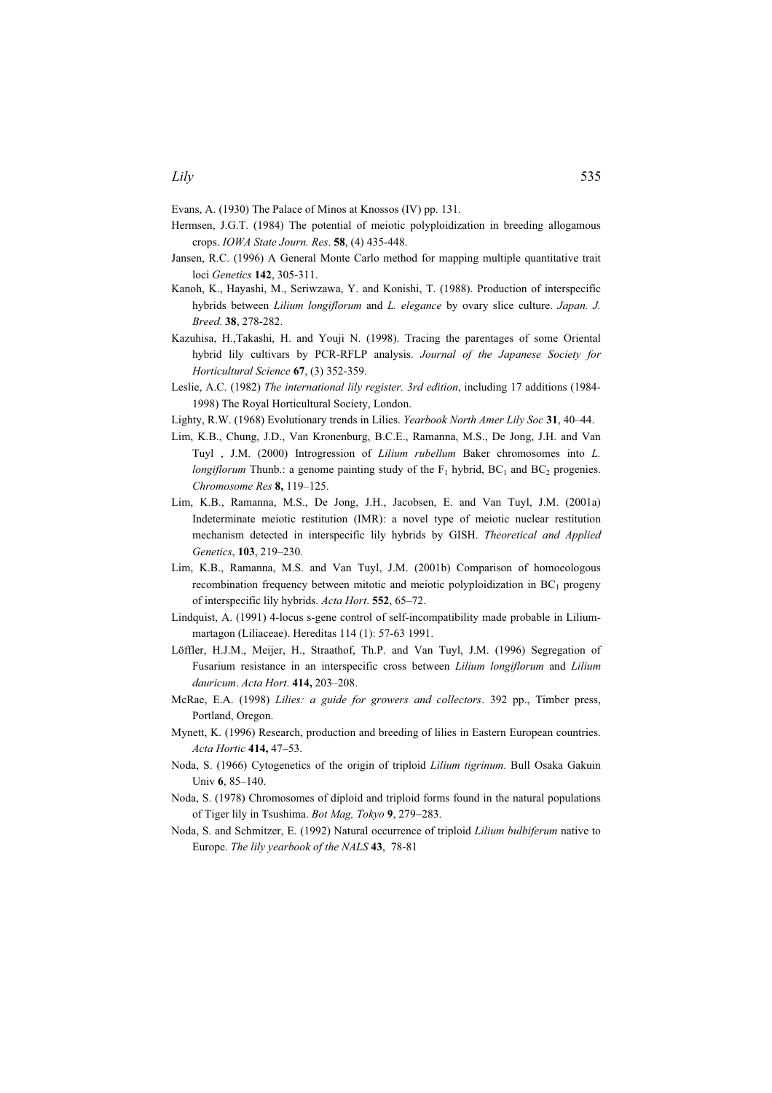- Evans, A. (1930) The Palace of Minos at Knossos (IV) pp. 131.
- Hermsen, J.G.T. (1984) The potential of meiotic polyploidization in breeding allogamous crops. *IOWA State Journ. Res*. **58**, (4) 435-448.
- Jansen, R.C. (1996) A General Monte Carlo method for mapping multiple quantitative trait loci *Genetics* **142**, 305-311.
- Kanoh, K., Hayashi, M., Seriwzawa, Y. and Konishi, T. (1988). Production of interspecific hybrids between *Lilium longiflorum* and *L. elegance* by ovary slice culture. *Japan. J. Breed*. **38**, 278-282.
- Kazuhisa, H.,Takashi, H. and Youji N. (1998). Tracing the parentages of some Oriental hybrid lily cultivars by PCR-RFLP analysis. *Journal of the Japanese Society for Horticultural Science* **67**, (3) 352-359.
- Leslie, A.C. (1982) *The international lily register. 3rd edition*, including 17 additions (1984- 1998) The Royal Horticultural Society, London.
- Lighty, R.W. (1968) Evolutionary trends in Lilies. *Yearbook North Amer Lily Soc* **31**, 40–44.
- Lim, K.B., Chung, J.D., Van Kronenburg, B.C.E., Ramanna, M.S., De Jong, J.H. and Van Tuyl , J.M. (2000) Introgression of *Lilium rubellum* Baker chromosomes into *L. longiflorum* Thunb.: a genome painting study of the  $F_1$  hybrid,  $BC_1$  and  $BC_2$  progenies. *Chromosome Res* **8,** 119–125.
- Lim, K.B., Ramanna, M.S., De Jong, J.H., Jacobsen, E. and Van Tuyl, J.M. (2001a) Indeterminate meiotic restitution (IMR): a novel type of meiotic nuclear restitution mechanism detected in interspecific lily hybrids by GISH. *Theoretical and Applied Genetics*, **103**, 219–230.
- Lim, K.B., Ramanna, M.S. and Van Tuyl, J.M. (2001b) Comparison of homoeologous recombination frequency between mitotic and meiotic polyploidization in  $BC_1$  progeny of interspecific lily hybrids. *Acta Hort*. **552**, 65–72.
- Lindquist, A. (1991) 4-locus s-gene control of self-incompatibility made probable in Liliummartagon (Liliaceae). Hereditas 114 (1): 57-63 1991.
- Löffler, H.J.M., Meijer, H., Straathof, Th.P. and Van Tuyl, J.M. (1996) Segregation of Fusarium resistance in an interspecific cross between *Lilium longiflorum* and *Lilium dauricum*. *Acta Hort*. **414,** 203–208.
- McRae, E.A. (1998) *Lilies: a guide for growers and collectors*. 392 pp., Timber press, Portland, Oregon.
- Mynett, K. (1996) Research, production and breeding of lilies in Eastern European countries. *Acta Hortic* **414,** 47–53.
- Noda, S. (1966) Cytogenetics of the origin of triploid *Lilium tigrinum*. Bull Osaka Gakuin Univ **6**, 85–140.
- Noda, S. (1978) Chromosomes of diploid and triploid forms found in the natural populations of Tiger lily in Tsushima. *Bot Mag, Tokyo* 9, 279-283.
- Noda, S. and Schmitzer, E. (1992) Natural occurrence of triploid *Lilium bulbiferum* native to Europe. *The lily yearbook of the NALS* **43**, 78-81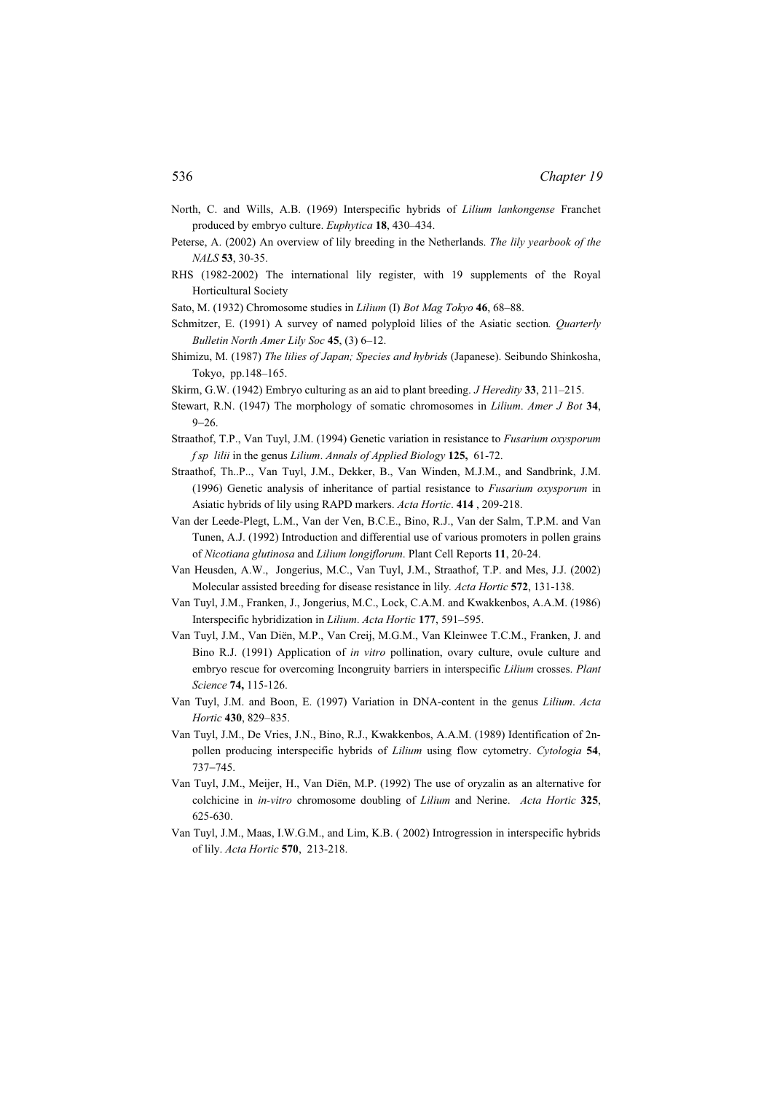- North, C. and Wills, A.B. (1969) Interspecific hybrids of *Lilium lankongense* Franchet produced by embryo culture. *Euphytica* **18**, 430–434.
- Peterse, A. (2002) An overview of lily breeding in the Netherlands. *The lily yearbook of the NALS* **53**, 30-35.
- RHS (1982-2002) The international lily register, with 19 supplements of the Royal Horticultural Society
- Sato, M. (1932) Chromosome studies in *Lilium* (I) *Bot Mag Tokyo* **46**, 68–88.
- Schmitzer, E. (1991) A survey of named polyploid lilies of the Asiatic section*. Quarterly Bulletin North Amer Lily Soc* **45**, (3) 6–12.
- Shimizu, M. (1987) *The lilies of Japan; Species and hybrids* (Japanese). Seibundo Shinkosha, Tokyo, pp.148–165.
- Skirm, G.W. (1942) Embryo culturing as an aid to plant breeding. *J Heredity* **33**, 211–215.
- Stewart, R.N. (1947) The morphology of somatic chromosomes in *Lilium*. *Amer J Bot* **34**,  $9 - 26$
- Straathof, T.P., Van Tuyl, J.M. (1994) Genetic variation in resistance to *Fusarium oxysporum f sp lilii* in the genus *Lilium*. *Annals of Applied Biology* **125,** 61-72.
- Straathof, Th..P.., Van Tuyl, J.M., Dekker, B., Van Winden, M.J.M., and Sandbrink, J.M. (1996) Genetic analysis of inheritance of partial resistance to *Fusarium oxysporum* in Asiatic hybrids of lily using RAPD markers. *Acta Hortic*. **414** , 209-218.
- Van der Leede-Plegt, L.M., Van der Ven, B.C.E., Bino, R.J., Van der Salm, T.P.M. and Van Tunen, A.J. (1992) Introduction and differential use of various promoters in pollen grains of *Nicotiana glutinosa* and *Lilium longiflorum*. Plant Cell Reports **11**, 20-24.
- Van Heusden, A.W., Jongerius, M.C., Van Tuyl, J.M., Straathof, T.P. and Mes, J.J. (2002) Molecular assisted breeding for disease resistance in lily*. Acta Hortic* **572**, 131-138.
- Van Tuyl, J.M., Franken, J., Jongerius, M.C., Lock, C.A.M. and Kwakkenbos, A.A.M. (1986) Interspecific hybridization in *Lilium*. *Acta Hortic* **177**, 591–595.
- Van Tuyl, J.M., Van Diën, M.P., Van Creij, M.G.M., Van Kleinwee T.C.M., Franken, J. and Bino R.J. (1991) Application of *in vitro* pollination, ovary culture, ovule culture and embryo rescue for overcoming Incongruity barriers in interspecific *Lilium* crosses. *Plant Science* **74,** 115-126.
- Van Tuyl, J.M. and Boon, E. (1997) Variation in DNA-content in the genus *Lilium*. *Acta Hortic* **430**, 829–835.
- Van Tuyl, J.M., De Vries, J.N., Bino, R.J., Kwakkenbos, A.A.M. (1989) Identification of 2npollen producing interspecific hybrids of *Lilium* using flow cytometry. *Cytologia* **54**, 737-745.
- Van Tuyl, J.M., Meijer, H., Van Diën, M.P. (1992) The use of oryzalin as an alternative for colchicine in *in-vitro* chromosome doubling of *Lilium* and Nerine. *Acta Hortic* **325**, 625-630.
- Van Tuyl, J.M., Maas, I.W.G.M., and Lim, K.B. ( 2002) Introgression in interspecific hybrids of lily. *Acta Hortic* **570**, 213-218.